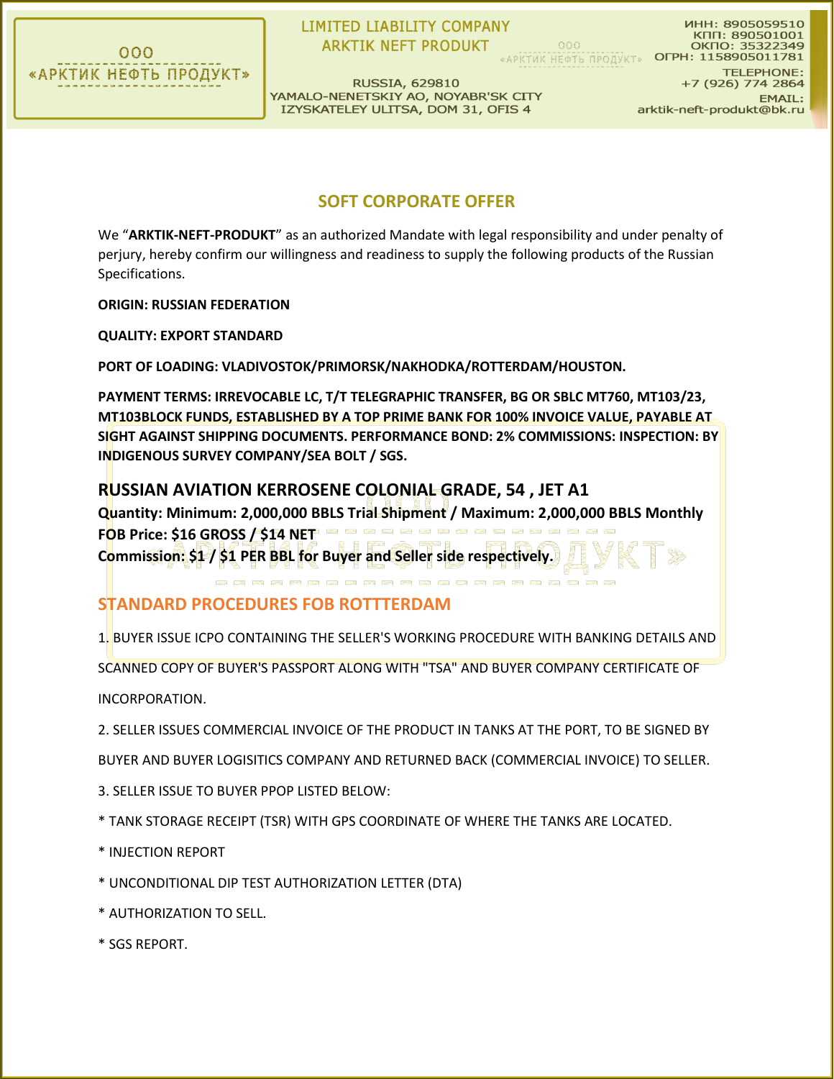

## **LIMITED LIABILITY COMPANY ARKTIK NEFT PRODUKT**

КПП: 890501001  $000$ OKNO: 35322349 «АРКТИК НЕФТЬ ПРОДУКТ» ОГРН: 1158905011781

**RUSSIA, 629810** YAMALO-NENETSKIY AO, NOYABR'SK CITY IZYSKATELEY ULITSA, DOM 31, OFIS 4

**TELEPHONE:** +7 (926) 774 2864 **EMAIL:** arktik-neft-produkt@bk.ru

ИНН: 8905059510

## **SOFT CORPORATE OFFER**

We "**ARKTIK-NEFT-PRODUKT**" as an authorized Mandate with legal responsibility and under penalty of perjury, hereby confirm our willingness and readiness to supply the following products of the Russian Specifications.

**ORIGIN: RUSSIAN FEDERATION** 

**QUALITY: EXPORT STANDARD**

**PORT OF LOADING: VLADIVOSTOK/PRIMORSK/NAKHODKA/ROTTERDAM/HOUSTON.**

**PAYMENT TERMS: IRREVOCABLE LC, T/T TELEGRAPHIC TRANSFER, BG OR SBLC MT760, MT103/23, MT103BLOCK FUNDS, ESTABLISHED BY A TOP PRIME BANK FOR 100% INVOICE VALUE, PAYABLE AT SIGHT AGAINST SHIPPING DOCUMENTS. PERFORMANCE BOND: 2% COMMISSIONS: INSPECTION: BY INDIGENOUS SURVEY COMPANY/SEA BOLT / SGS.** 

#### **RUSSIAN AVIATION KERROSENE COLONIAL GRADE, 54 , JET A1**

**Quantity: Minimum: 2,000,000 BBLS Trial Shipment / Maximum: 2,000,000 BBLS Monthly FOB Price: \$16 GROSS / \$14 NET Commission: \$1 / \$1 PER BBL for Buyer and Seller side respectively.**

## **STANDARD PROCEDURES FOB ROTTTERDAM**

1. BUYER ISSUE ICPO CONTAINING THE SELLER'S WORKING PROCEDURE WITH BANKING DETAILS AND SCANNED COPY OF BUYER'S PASSPORT ALONG WITH "TSA" AND BUYER COMPANY CERTIFICATE OF INCORPORATION.

2. SELLER ISSUES COMMERCIAL INVOICE OF THE PRODUCT IN TANKS AT THE PORT, TO BE SIGNED BY BUYER AND BUYER LOGISITICS COMPANY AND RETURNED BACK (COMMERCIAL INVOICE) TO SELLER.

- 3. SELLER ISSUE TO BUYER PPOP LISTED BELOW:
- \* TANK STORAGE RECEIPT (TSR) WITH GPS COORDINATE OF WHERE THE TANKS ARE LOCATED.
- \* INJECTION REPORT
- \* UNCONDITIONAL DIP TEST AUTHORIZATION LETTER (DTA)
- \* AUTHORIZATION TO SELL.
- \* SGS REPORT.